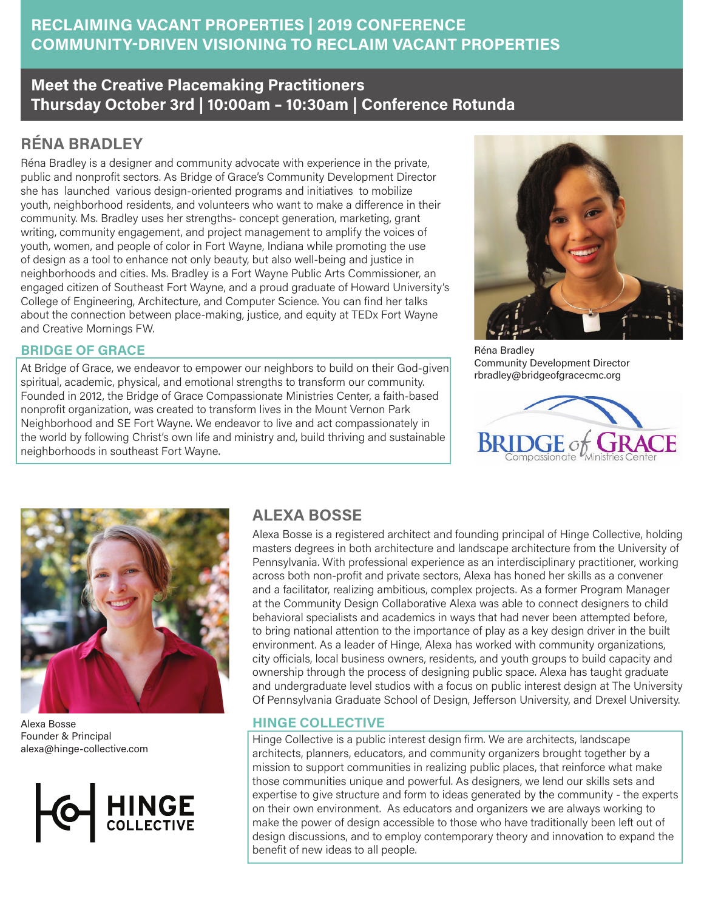### **RECLAIMING VACANT PROPERTIES | 2019 CONFERENCE COMMUNITY-DRIVEN VISIONING TO RECLAIM VACANT PROPERTIES**

## **Meet the Creative Placemaking Practitioners Thursday October 3rd | 10:00am – 10:30am | Conference Rotunda**

# **RÉNA BRADLEY**

Réna Bradley is a designer and community advocate with experience in the private, public and nonprofit sectors. As Bridge of Grace's Community Development Director she has launched various design-oriented programs and initiatives to mobilize youth, neighborhood residents, and volunteers who want to make a difference in their community. Ms. Bradley uses her strengths- concept generation, marketing, grant writing, community engagement, and project management to amplify the voices of youth, women, and people of color in Fort Wayne, Indiana while promoting the use of design as a tool to enhance not only beauty, but also well-being and justice in neighborhoods and cities. Ms. Bradley is a Fort Wayne Public Arts Commissioner, an engaged citizen of Southeast Fort Wayne, and a proud graduate of Howard University's College of Engineering, Architecture, and Computer Science. You can find her talks about the connection between place-making, justice, and equity at TEDx Fort Wayne and Creative Mornings FW.

#### **BRIDGE OF GRACE**

At Bridge of Grace, we endeavor to empower our neighbors to build on their God-given spiritual, academic, physical, and emotional strengths to transform our community. Founded in 2012, the Bridge of Grace Compassionate Ministries Center, a faith-based nonprofit organization, was created to transform lives in the Mount Vernon Park Neighborhood and SE Fort Wayne. We endeavor to live and act compassionately in the world by following Christ's own life and ministry and, build thriving and sustainable neighborhoods in southeast Fort Wayne.



Réna Bradley Community Development Director rbradley@bridgeofgracecmc.org





Alexa Bosse Founder & Principal alexa@hinge-collective.com



### **ALEXA BOSSE**

Alexa Bosse is a registered architect and founding principal of Hinge Collective, holding masters degrees in both architecture and landscape architecture from the University of Pennsylvania. With professional experience as an interdisciplinary practitioner, working across both non-profit and private sectors, Alexa has honed her skills as a convener and a facilitator, realizing ambitious, complex projects. As a former Program Manager at the Community Design Collaborative Alexa was able to connect designers to child behavioral specialists and academics in ways that had never been attempted before, to bring national attention to the importance of play as a key design driver in the built environment. As a leader of Hinge, Alexa has worked with community organizations, city officials, local business owners, residents, and youth groups to build capacity and ownership through the process of designing public space. Alexa has taught graduate and undergraduate level studios with a focus on public interest design at The University Of Pennsylvania Graduate School of Design, Jefferson University, and Drexel University.

#### **HINGE COLLECTIVE**

Hinge Collective is a public interest design firm. We are architects, landscape architects, planners, educators, and community organizers brought together by a mission to support communities in realizing public places, that reinforce what make those communities unique and powerful. As designers, we lend our skills sets and expertise to give structure and form to ideas generated by the community - the experts on their own environment. As educators and organizers we are always working to make the power of design accessible to those who have traditionally been left out of design discussions, and to employ contemporary theory and innovation to expand the benefit of new ideas to all people.